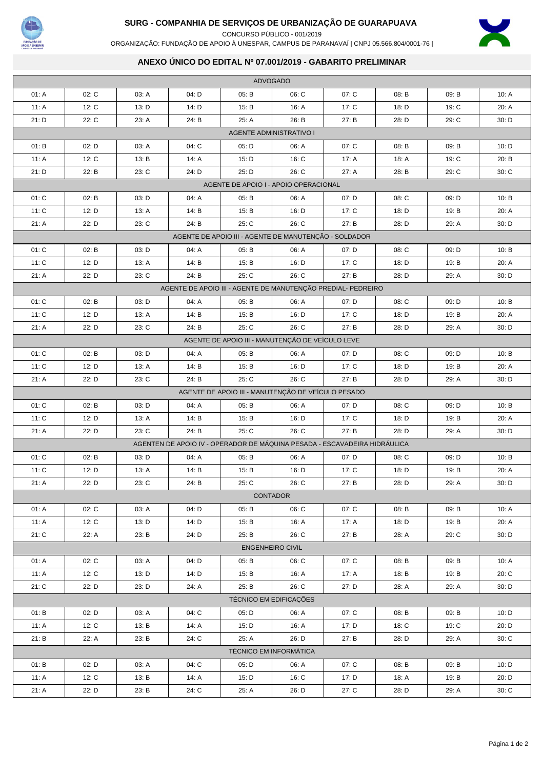

## **SURG - COMPANHIA DE SERVIÇOS DE URBANIZAÇÃO DE GUARAPUAVA**

CONCURSO PÚBLICO - 001/2019

X

ORGANIZAÇÃO: FUNDAÇÃO DE APOIO À UNESPAR, CAMPUS DE PARANAVAÍ | CNPJ 05.566.804/0001-76 |

## **ANEXO ÚNICO DO EDITAL Nº 07.001/2019 - GABARITO PRELIMINAR**

| <b>ADVOGADO</b>                                              |       |       |                                                                           |       |                         |       |       |       |       |  |  |  |
|--------------------------------------------------------------|-------|-------|---------------------------------------------------------------------------|-------|-------------------------|-------|-------|-------|-------|--|--|--|
| 01: A                                                        | 02: C | 03: A | 04: D                                                                     | 05: B | 06: C                   | 07: C | 08: B | 09: B | 10: A |  |  |  |
| 11: A                                                        | 12: C | 13: D | 14: D                                                                     | 15: B | 16: A                   | 17: C | 18: D | 19: C | 20: A |  |  |  |
| 21: D                                                        | 22: C | 23: A | 24: B                                                                     | 25: A | 26: B                   | 27: B | 28: D | 29: C | 30: D |  |  |  |
| <b>AGENTE ADMINISTRATIVO I</b>                               |       |       |                                                                           |       |                         |       |       |       |       |  |  |  |
| 01: B                                                        | 02: D | 03: A | 04: C                                                                     | 05: D | 06: A                   | 07: C | 08: B | 09: B | 10: D |  |  |  |
| 11: A                                                        | 12: C | 13: B | 14: A                                                                     | 15: D | 16: C                   | 17: A | 18: A | 19: C | 20: B |  |  |  |
| 21: D                                                        | 22: B | 23: C | 24: D                                                                     | 25: D | 26: C                   | 27: A | 28: B | 29: C | 30:C  |  |  |  |
| AGENTE DE APOIO I - APOIO OPERACIONAL                        |       |       |                                                                           |       |                         |       |       |       |       |  |  |  |
| 01: C                                                        | 02: B | 03: D | 04: A                                                                     | 05: B | 06: A                   | 07: D | 08: C | 09: D | 10: B |  |  |  |
| 11: C                                                        | 12: D | 13: A | 14: B                                                                     | 15: B | 16: D                   | 17: C | 18: D | 19: B | 20: A |  |  |  |
| 21: A                                                        | 22: D | 23: C | 24: B                                                                     | 25: C | 26: C                   | 27: B | 28: D | 29: A | 30: D |  |  |  |
| AGENTE DE APOIO III - AGENTE DE MANUTENÇÃO - SOLDADOR        |       |       |                                                                           |       |                         |       |       |       |       |  |  |  |
| 01: C                                                        | 02: B | 03: D | 04: A                                                                     | 05: B | 06: A                   | 07: D | 08: C | 09: D | 10: B |  |  |  |
| 11: C                                                        | 12: D | 13: A | 14: B                                                                     | 15: B | 16: D                   | 17: C | 18: D | 19: B | 20: A |  |  |  |
| 21: A                                                        | 22: D | 23: C | 24: B                                                                     | 25: C | 26: C                   | 27: B | 28: D | 29: A | 30: D |  |  |  |
| AGENTE DE APOIO III - AGENTE DE MANUTENÇÃO PREDIAL- PEDREIRO |       |       |                                                                           |       |                         |       |       |       |       |  |  |  |
| 01: C                                                        | 02: B | 03: D | 04: A                                                                     | 05: B | 06: A                   | 07: D | 08: C | 09: D | 10: B |  |  |  |
| 11: C                                                        | 12: D | 13: A | 14: B                                                                     | 15: B | 16: D                   | 17: C | 18: D | 19: B | 20: A |  |  |  |
| 21: A                                                        | 22: D | 23: C | 24: B                                                                     | 25: C | 26: C                   | 27: B | 28: D | 29: A | 30: D |  |  |  |
| AGENTE DE APOIO III - MANUTENÇÃO DE VEÍCULO LEVE             |       |       |                                                                           |       |                         |       |       |       |       |  |  |  |
| 01: C                                                        | 02: B | 03: D | 04: A                                                                     | 05: B | 06: A                   | 07: D | 08: C | 09: D | 10: B |  |  |  |
| 11: C                                                        | 12: D | 13: A | 14: B                                                                     | 15: B | 16: D                   | 17: C | 18: D | 19: B | 20: A |  |  |  |
| 21: A                                                        | 22: D | 23: C | 24: B                                                                     | 25: C | 26: C                   | 27: B | 28: D | 29: A | 30: D |  |  |  |
| AGENTE DE APOIO III - MANUTENÇÃO DE VEÍCULO PESADO           |       |       |                                                                           |       |                         |       |       |       |       |  |  |  |
| 01: C                                                        | 02: B | 03: D | 04: A                                                                     | 05: B | 06: A                   | 07: D | 08: C | 09: D | 10: B |  |  |  |
| 11: C                                                        | 12: D | 13: A | 14: B                                                                     | 15: B | 16: D                   | 17: C | 18: D | 19: B | 20: A |  |  |  |
| 21: A                                                        | 22: D | 23: C | 24: B                                                                     | 25: C | 26: C                   | 27: B | 28: D | 29: A | 30: D |  |  |  |
|                                                              |       |       | AGENTEN DE APOIO IV - OPERADOR DE MÁQUINA PESADA - ESCAVADEIRA HIDRÁULICA |       |                         |       |       |       |       |  |  |  |
| 01: C                                                        | 02: B | 03: D | 04: A                                                                     | 05: B | 06: A                   | 07: D | 08: C | 09: D | 10: B |  |  |  |
| 11: C                                                        | 12: D | 13: A | 14: B                                                                     | 15: B | 16: D                   | 17: C | 18: D | 19: B | 20: A |  |  |  |
| 21: A                                                        | 22: D | 23: C | 24: B                                                                     | 25: C | 26: C                   | 27: B | 28: D | 29: A | 30: D |  |  |  |
|                                                              |       |       |                                                                           |       | <b>CONTADOR</b>         |       |       |       |       |  |  |  |
| 01: A                                                        | 02: C | 03: A | 04: D                                                                     | 05: B | 06: C                   | 07: C | 08: B | 09: B | 10: A |  |  |  |
| 11: A                                                        | 12: C | 13: D | 14: D                                                                     | 15: B | 16: A                   | 17: A | 18: D | 19: B | 20: A |  |  |  |
| 21: C                                                        | 22: A | 23: B | 24: D                                                                     | 25: B | 26: C                   | 27: B | 28: A | 29: C | 30: D |  |  |  |
|                                                              |       |       |                                                                           |       | <b>ENGENHEIRO CIVIL</b> |       |       |       |       |  |  |  |
| 01: A                                                        | 02: C | 03: A | 04: D                                                                     | 05: B | 06: C                   | 07: C | 08: B | 09: B | 10: A |  |  |  |
| 11: A                                                        | 12: C | 13: D | 14: D                                                                     | 15: B | 16: A                   | 17: A | 18: B | 19: B | 20: C |  |  |  |
| 21: C                                                        | 22: D | 23: D | 24: A                                                                     | 25: B | 26: C                   | 27: D | 28: A | 29: A | 30: D |  |  |  |
|                                                              |       |       |                                                                           |       | TÉCNICO EM EDIFICAÇÕES  |       |       |       |       |  |  |  |
| 01: B                                                        | 02: D | 03: A | 04: C                                                                     | 05: D | 06: A                   | 07: C | 08: B | 09: B | 10: D |  |  |  |
| 11: $A$                                                      | 12: C | 13: B | 14: A                                                                     | 15: D | 16: A                   | 17: D | 18: C | 19: C | 20: D |  |  |  |
| 21: B                                                        | 22: A | 23: B | 24: C                                                                     | 25: A | 26: D                   | 27: B | 28: D | 29: A | 30: C |  |  |  |
| <b>TÉCNICO EM INFORMÁTICA</b>                                |       |       |                                                                           |       |                         |       |       |       |       |  |  |  |
| 01: B                                                        | 02: D | 03: A | 04: C                                                                     | 05: D | 06: A                   | 07: C | 08: B | 09: B | 10: D |  |  |  |
| 11: A                                                        | 12: C | 13: B | 14: A                                                                     | 15: D | 16: C                   | 17: D | 18: A | 19: B | 20: D |  |  |  |
| 21: A                                                        | 22: D | 23: B | 24: C                                                                     | 25: A | 26: D                   | 27: C | 28: D | 29: A | 30: C |  |  |  |